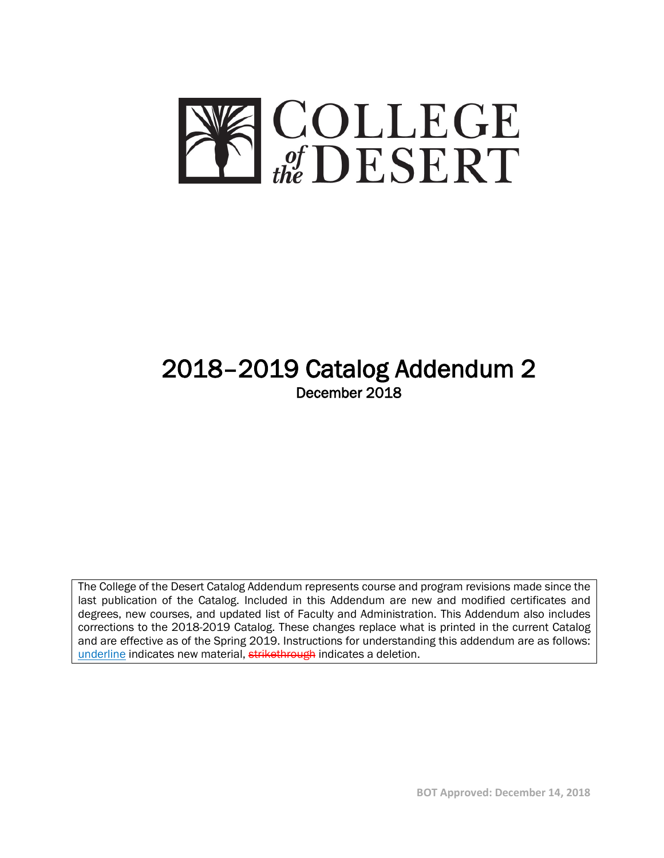

# 2018–2019 Catalog Addendum 2 December 2018

The College of the Desert Catalog Addendum represents course and program revisions made since the last publication of the Catalog. Included in this Addendum are new and modified certificates and degrees, new courses, and updated list of Faculty and Administration. This Addendum also includes corrections to the 2018-2019 Catalog. These changes replace what is printed in the current Catalog and are effective as of the Spring 2019. Instructions for understanding this addendum are as follows: underline indicates new material, strikethrough indicates a deletion.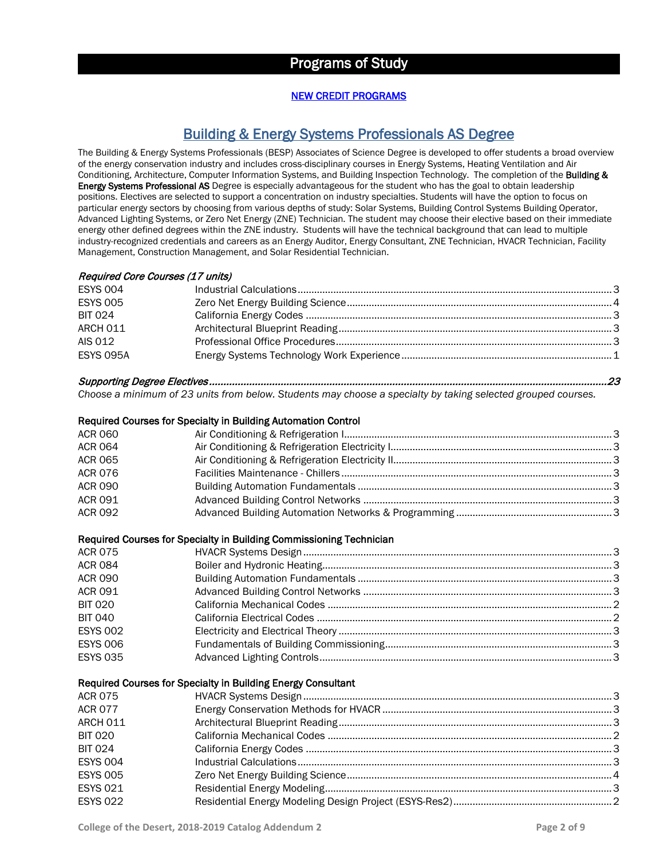## Programs of Study

#### NEW CREDIT PROGRAMS

## Building & Energy Systems Professionals AS Degree

The Building & Energy Systems Professionals (BESP) Associates of Science Degree is developed to offer students a broad overview of the energy conservation industry and includes cross-disciplinary courses in Energy Systems, Heating Ventilation and Air Conditioning, Architecture, Computer Information Systems, and Building Inspection Technology. The completion of the Building & Energy Systems Professional AS Degree is especially advantageous for the student who has the goal to obtain leadership positions. Electives are selected to support a concentration on industry specialties. Students will have the option to focus on particular energy sectors by choosing from various depths of study: Solar Systems, Building Control Systems Building Operator, Advanced Lighting Systems, or Zero Net Energy (ZNE) Technician. The student may choose their elective based on their immediate energy other defined degrees within the ZNE industry. Students will have the technical background that can lead to multiple industry-recognized credentials and careers as an Energy Auditor, Energy Consultant, ZNE Technician, HVACR Technician, Facility Management, Construction Management, and Solar Residential Technician.

#### Required Core Courses (17 units)

| <b>ESYS 004</b>  |  |
|------------------|--|
| <b>ESYS 005</b>  |  |
| <b>BIT 024</b>   |  |
| ARCH 011         |  |
| AIS 012          |  |
| <b>ESYS 095A</b> |  |
|                  |  |

## Supporting Degree Electives ........................................................................................................................................... 23

*Choose a minimum of 23 units from below. Students may choose a specialty by taking selected grouped courses.*

#### Required Courses for Specialty in Building Automation Control

| <b>ACR 060</b> |  |
|----------------|--|
| <b>ACR 064</b> |  |
| <b>ACR 065</b> |  |
| <b>ACR 076</b> |  |
| <b>ACR 090</b> |  |
| ACR 091        |  |
| <b>ACR 092</b> |  |

#### Required Courses for Specialty in Building Commissioning Technician

| <b>ACR 075</b>  |  |
|-----------------|--|
| <b>ACR 084</b>  |  |
| <b>ACR 090</b>  |  |
| <b>ACR 091</b>  |  |
| <b>BIT 020</b>  |  |
| <b>BIT 040</b>  |  |
| <b>ESYS 002</b> |  |
| <b>ESYS 006</b> |  |
| <b>ESYS 035</b> |  |
|                 |  |

#### Required Courses for Specialty in Building Energy Consultant

| ACR 075         |  |
|-----------------|--|
| <b>ACR 077</b>  |  |
| ARCH 011        |  |
| <b>BIT 020</b>  |  |
| <b>BIT 024</b>  |  |
| <b>ESYS 004</b> |  |
| <b>ESYS 005</b> |  |
| <b>ESYS 021</b> |  |
| <b>ESYS 022</b> |  |
|                 |  |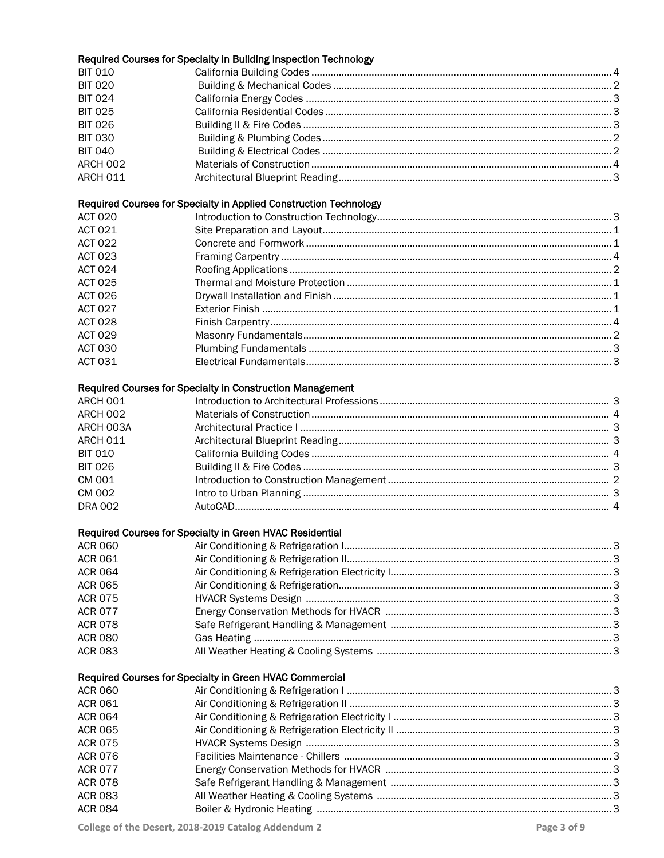|                 | Required Courses for Specialty in Building Inspection Technology  |  |
|-----------------|-------------------------------------------------------------------|--|
| <b>BIT 010</b>  |                                                                   |  |
| <b>BIT 020</b>  |                                                                   |  |
| <b>BIT 024</b>  |                                                                   |  |
| <b>BIT 025</b>  |                                                                   |  |
| <b>BIT 026</b>  |                                                                   |  |
| <b>BIT 030</b>  |                                                                   |  |
| <b>BIT 040</b>  |                                                                   |  |
| ARCH 002        |                                                                   |  |
| <b>ARCH 011</b> |                                                                   |  |
|                 | Required Courses for Specialty in Applied Construction Technology |  |
| <b>ACT 020</b>  |                                                                   |  |
| <b>ACT 021</b>  |                                                                   |  |
| <b>ACT 022</b>  |                                                                   |  |
| <b>ACT 023</b>  |                                                                   |  |
| <b>ACT 024</b>  |                                                                   |  |
| <b>ACT 025</b>  |                                                                   |  |
| <b>ACT 026</b>  |                                                                   |  |
| <b>ACT 027</b>  |                                                                   |  |
| <b>ACT 028</b>  |                                                                   |  |
| <b>ACT 029</b>  |                                                                   |  |
| <b>ACT 030</b>  |                                                                   |  |
| <b>ACT 031</b>  |                                                                   |  |
|                 | Required Courses for Specialty in Construction Management         |  |
| ARCH 001        |                                                                   |  |
| ARCH 002        |                                                                   |  |
| ARCH 003A       |                                                                   |  |
| <b>ARCH 011</b> |                                                                   |  |
| <b>BIT 010</b>  |                                                                   |  |
| <b>BIT 026</b>  |                                                                   |  |
| CM 001          |                                                                   |  |
| <b>CM 002</b>   |                                                                   |  |
| <b>DRA 002</b>  |                                                                   |  |
|                 | Required Courses for Specialty in Green HVAC Residential          |  |
| <b>ACR 060</b>  |                                                                   |  |
| <b>ACR 061</b>  |                                                                   |  |
| <b>ACR 064</b>  |                                                                   |  |
| <b>ACR 065</b>  |                                                                   |  |
| <b>ACR 075</b>  |                                                                   |  |
| <b>ACR 077</b>  |                                                                   |  |
| <b>ACR 078</b>  |                                                                   |  |
| <b>ACR 080</b>  |                                                                   |  |
| <b>ACR 083</b>  |                                                                   |  |
|                 | Required Courses for Specialty in Green HVAC Commercial           |  |
| <b>ACR 060</b>  |                                                                   |  |
| <b>ACR 061</b>  |                                                                   |  |
| <b>ACR 064</b>  |                                                                   |  |
| <b>ACR 065</b>  |                                                                   |  |
| <b>ACR 075</b>  |                                                                   |  |
| <b>ACR 076</b>  |                                                                   |  |
| <b>ACR 077</b>  |                                                                   |  |
| <b>ACR 078</b>  |                                                                   |  |
| <b>ACR 083</b>  |                                                                   |  |
| <b>ACR 084</b>  |                                                                   |  |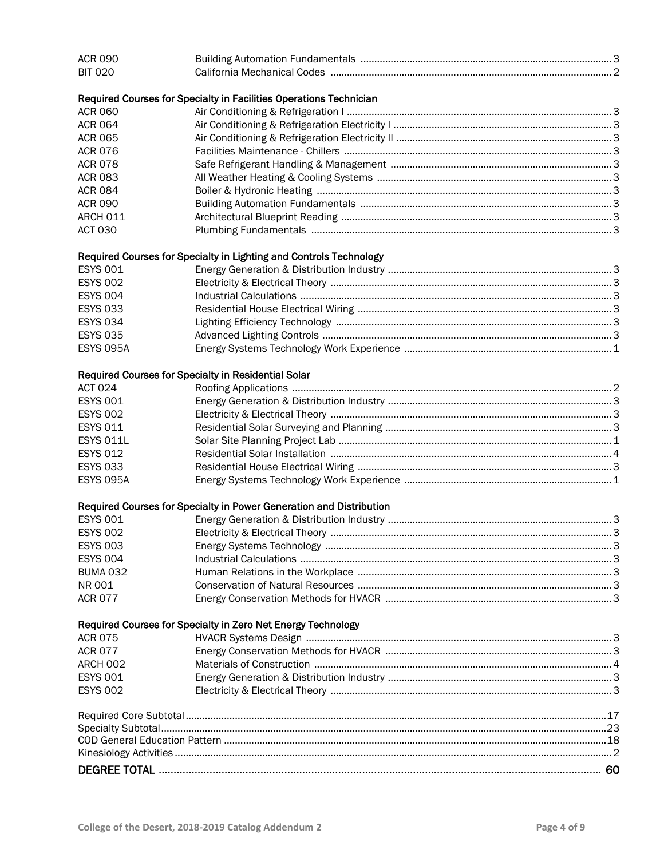| <b>ACR 090</b>   |                                                                     |  |
|------------------|---------------------------------------------------------------------|--|
| <b>BIT 020</b>   |                                                                     |  |
|                  | Required Courses for Specialty in Facilities Operations Technician  |  |
| <b>ACR 060</b>   |                                                                     |  |
| <b>ACR 064</b>   |                                                                     |  |
| <b>ACR 065</b>   |                                                                     |  |
| <b>ACR 076</b>   |                                                                     |  |
| <b>ACR 078</b>   |                                                                     |  |
| <b>ACR 083</b>   |                                                                     |  |
| <b>ACR 084</b>   |                                                                     |  |
| <b>ACR 090</b>   |                                                                     |  |
| ARCH 011         |                                                                     |  |
| <b>ACT 030</b>   |                                                                     |  |
|                  | Required Courses for Specialty in Lighting and Controls Technology  |  |
| <b>ESYS 001</b>  |                                                                     |  |
| <b>ESYS 002</b>  |                                                                     |  |
| <b>ESYS 004</b>  |                                                                     |  |
| <b>ESYS 033</b>  |                                                                     |  |
| <b>ESYS 034</b>  |                                                                     |  |
| <b>ESYS 035</b>  |                                                                     |  |
| <b>ESYS 095A</b> |                                                                     |  |
|                  | Required Courses for Specialty in Residential Solar                 |  |
| <b>ACT 024</b>   |                                                                     |  |
| <b>ESYS 001</b>  |                                                                     |  |
| <b>ESYS 002</b>  |                                                                     |  |
| <b>ESYS 011</b>  |                                                                     |  |
| <b>ESYS 011L</b> |                                                                     |  |
| <b>ESYS 012</b>  |                                                                     |  |
| <b>ESYS 033</b>  |                                                                     |  |
| <b>ESYS 095A</b> |                                                                     |  |
|                  | Required Courses for Specialty in Power Generation and Distribution |  |
| <b>ESYS 001</b>  |                                                                     |  |
| <b>ESYS 002</b>  |                                                                     |  |
| <b>ESYS 003</b>  |                                                                     |  |
| <b>ESYS 004</b>  |                                                                     |  |
| <b>BUMA 032</b>  |                                                                     |  |
| NR 001           |                                                                     |  |
| <b>ACR 077</b>   |                                                                     |  |
|                  | Required Courses for Specialty in Zero Net Energy Technology        |  |
| <b>ACR 075</b>   |                                                                     |  |
| <b>ACR 077</b>   |                                                                     |  |
| ARCH 002         |                                                                     |  |
| <b>ESYS 001</b>  |                                                                     |  |
| <b>ESYS 002</b>  |                                                                     |  |
|                  |                                                                     |  |
|                  |                                                                     |  |
|                  |                                                                     |  |
|                  |                                                                     |  |
|                  |                                                                     |  |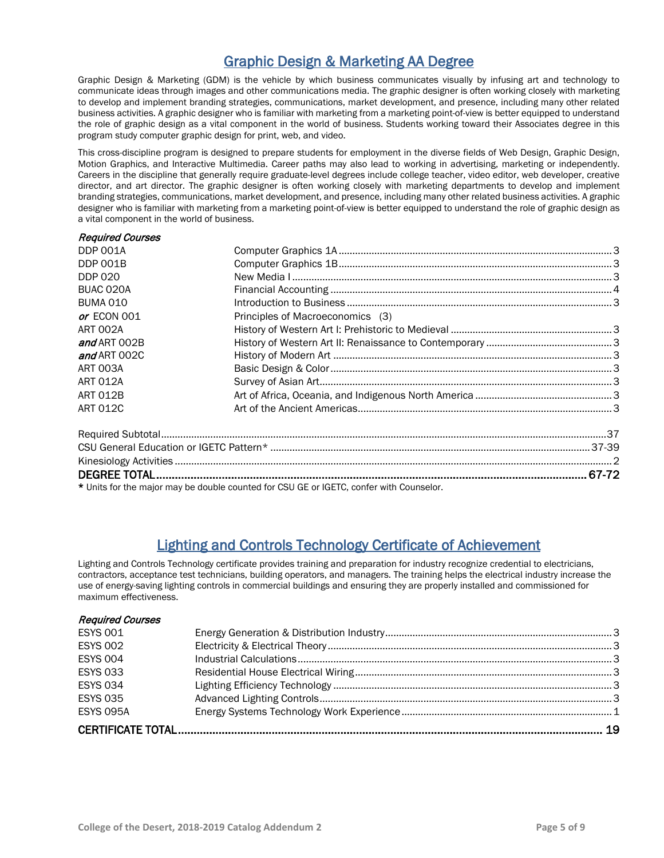## Graphic Design & Marketing AA Degree

Graphic Design & Marketing (GDM) is the vehicle by which business communicates visually by infusing art and technology to communicate ideas through images and other communications media. The graphic designer is often working closely with marketing to develop and implement branding strategies, communications, market development, and presence, including many other related business activities. A graphic designer who is familiar with marketing from a marketing point-of-view is better equipped to understand the role of graphic design as a vital component in the world of business. Students working toward their Associates degree in this program study computer graphic design for print, web, and video.

This cross-discipline program is designed to prepare students for employment in the diverse fields of Web Design, Graphic Design, Motion Graphics, and Interactive Multimedia. Career paths may also lead to working in advertising, marketing or independently. Careers in the discipline that generally require graduate-level degrees include college teacher, video editor, web developer, creative director, and art director. The graphic designer is often working closely with marketing departments to develop and implement branding strategies, communications, market development, and presence, including many other related business activities. A graphic designer who is familiar with marketing from a marketing point-of-view is better equipped to understand the role of graphic design as a vital component in the world of business.

| <b>Required Courses</b> |                                  |  |
|-------------------------|----------------------------------|--|
| <b>DDP 001A</b>         |                                  |  |
| <b>DDP 001B</b>         |                                  |  |
| <b>DDP 020</b>          |                                  |  |
| BUAC 020A               |                                  |  |
| <b>BUMA 010</b>         |                                  |  |
| or ECON 001             | Principles of Macroeconomics (3) |  |
| ART 002A                |                                  |  |
| and ART 002B            |                                  |  |
| and ART 002C            |                                  |  |
| ART 003A                |                                  |  |
| <b>ART 012A</b>         |                                  |  |
| <b>ART 012B</b>         |                                  |  |
| <b>ART 012C</b>         |                                  |  |
|                         |                                  |  |
|                         |                                  |  |
|                         |                                  |  |
|                         |                                  |  |

\* Units for the major may be double counted for CSU GE or IGETC, confer with Counselor.

## Lighting and Controls Technology Certificate of Achievement

Lighting and Controls Technology certificate provides training and preparation for industry recognize credential to electricians, contractors, acceptance test technicians, building operators, and managers. The training helps the electrical industry increase the use of energy-saving lighting controls in commercial buildings and ensuring they are properly installed and commissioned for maximum effectiveness.

#### Required Courses

| <b>ESYS 001</b>  |  |
|------------------|--|
| <b>ESYS 002</b>  |  |
| <b>ESYS 004</b>  |  |
| <b>ESYS 033</b>  |  |
| <b>ESYS 034</b>  |  |
| <b>ESYS 035</b>  |  |
| <b>ESYS 095A</b> |  |
|                  |  |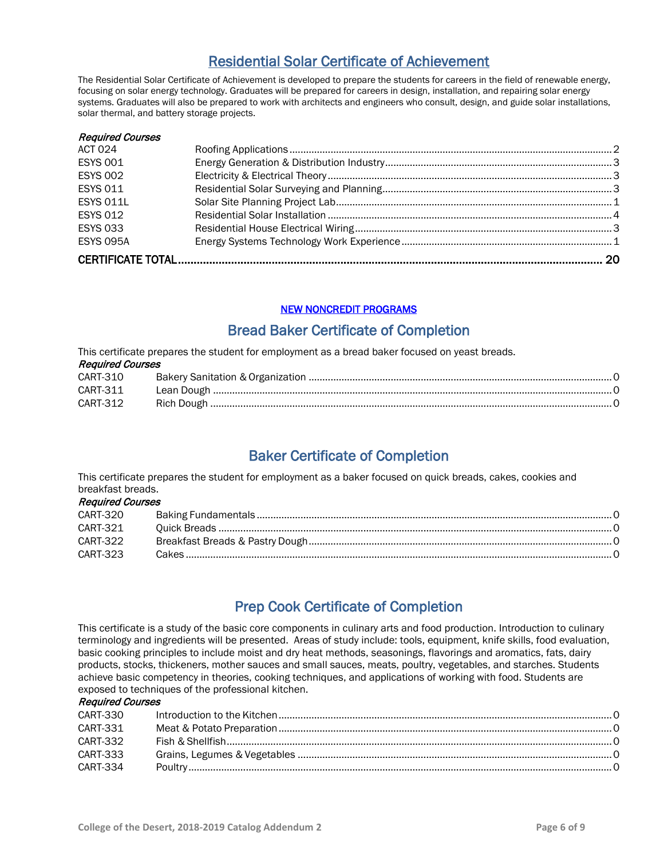## Residential Solar Certificate of Achievement

The Residential Solar Certificate of Achievement is developed to prepare the students for careers in the field of renewable energy, focusing on solar energy technology. Graduates will be prepared for careers in design, installation, and repairing solar energy systems. Graduates will also be prepared to work with architects and engineers who consult, design, and guide solar installations, solar thermal, and battery storage projects.

| <b>ESYS 095A</b>        |  |
|-------------------------|--|
| <b>ESYS 033</b>         |  |
| <b>ESYS 012</b>         |  |
| <b>ESYS 011L</b>        |  |
| <b>ESYS 011</b>         |  |
| <b>ESYS 002</b>         |  |
| <b>ESYS 001</b>         |  |
| <b>ACT 024</b>          |  |
| <b>Required Courses</b> |  |

## NEW NONCREDIT PROGRAMS

## Bread Baker Certificate of Completion

This certificate prepares the student for employment as a bread baker focused on yeast breads. Required Courses CART-310 Bakery Sanitation &Organization ...............................................................................................................0

| <b>UANI-JIU</b> |            |  |
|-----------------|------------|--|
| CART-311        | Lean Dough |  |
| CART-312        |            |  |

## Baker Certificate of Completion

This certificate prepares the student for employment as a baker focused on quick breads, cakes, cookies and breakfast breads. Required Courses

| <i><b>Required Courses</b></i> |  |
|--------------------------------|--|
| CART-320                       |  |
| CART-321                       |  |
| CART-322                       |  |
| CART-323                       |  |
|                                |  |

## Prep Cook Certificate of Completion

This certificate is a study of the basic core components in culinary arts and food production. Introduction to culinary terminology and ingredients will be presented. Areas of study include: tools, equipment, knife skills, food evaluation, basic cooking principles to include moist and dry heat methods, seasonings, flavorings and aromatics, fats, dairy products, stocks, thickeners, mother sauces and small sauces, meats, poultry, vegetables, and starches. Students achieve basic competency in theories, cooking techniques, and applications of working with food. Students are exposed to techniques of the professional kitchen.

#### Required Courses

| CART-330 |  |
|----------|--|
| CART-331 |  |
| CART-332 |  |
| CART-333 |  |
| CART-334 |  |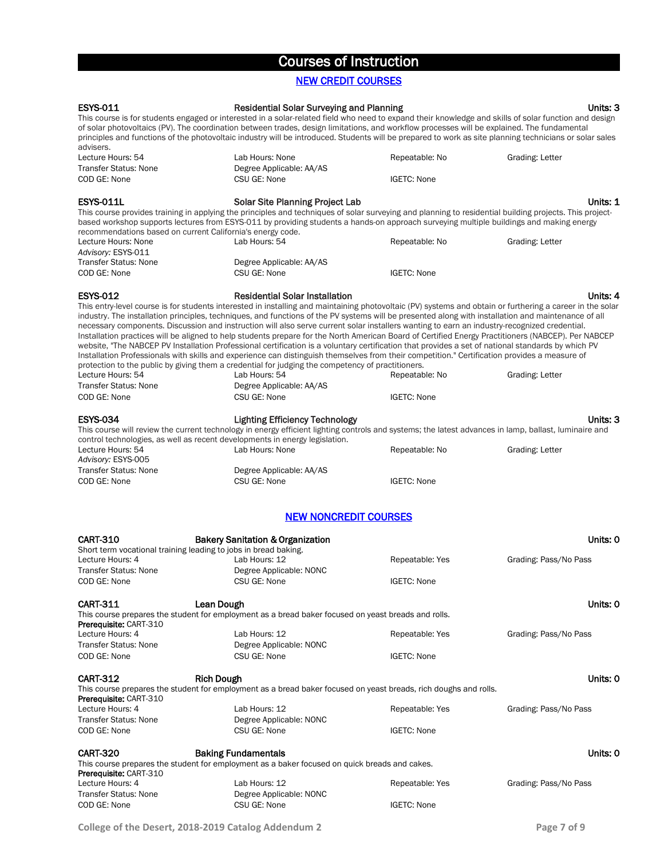## Courses of Instruction

## NEW CREDIT COURSES

| <b>ESYS-011</b>                                                 | <b>Residential Solar Surveying and Planning</b>                                                                                                                                                                                                                                                                                                                                                                                                                                                                                                                                                                                                                                                                                                                                                                                                                        |                    | Units: 3              |
|-----------------------------------------------------------------|------------------------------------------------------------------------------------------------------------------------------------------------------------------------------------------------------------------------------------------------------------------------------------------------------------------------------------------------------------------------------------------------------------------------------------------------------------------------------------------------------------------------------------------------------------------------------------------------------------------------------------------------------------------------------------------------------------------------------------------------------------------------------------------------------------------------------------------------------------------------|--------------------|-----------------------|
|                                                                 | This course is for students engaged or interested in a solar-related field who need to expand their knowledge and skills of solar function and design                                                                                                                                                                                                                                                                                                                                                                                                                                                                                                                                                                                                                                                                                                                  |                    |                       |
|                                                                 | of solar photovoltaics (PV). The coordination between trades, design limitations, and workflow processes will be explained. The fundamental<br>principles and functions of the photovoltaic industry will be introduced. Students will be prepared to work as site planning technicians or solar sales                                                                                                                                                                                                                                                                                                                                                                                                                                                                                                                                                                 |                    |                       |
| advisers.                                                       |                                                                                                                                                                                                                                                                                                                                                                                                                                                                                                                                                                                                                                                                                                                                                                                                                                                                        |                    |                       |
| Lecture Hours: 54                                               | Lab Hours: None                                                                                                                                                                                                                                                                                                                                                                                                                                                                                                                                                                                                                                                                                                                                                                                                                                                        | Repeatable: No     | Grading: Letter       |
| <b>Transfer Status: None</b>                                    | Degree Applicable: AA/AS                                                                                                                                                                                                                                                                                                                                                                                                                                                                                                                                                                                                                                                                                                                                                                                                                                               |                    |                       |
| COD GE: None                                                    | CSU GE: None                                                                                                                                                                                                                                                                                                                                                                                                                                                                                                                                                                                                                                                                                                                                                                                                                                                           | <b>IGETC: None</b> |                       |
| <b>ESYS-011L</b>                                                | <b>Solar Site Planning Project Lab</b>                                                                                                                                                                                                                                                                                                                                                                                                                                                                                                                                                                                                                                                                                                                                                                                                                                 |                    | Units: 1              |
| recommendations based on current California's energy code.      | This course provides training in applying the principles and techniques of solar surveying and planning to residential building projects. This project-<br>based workshop supports lectures from ESYS-011 by providing students a hands-on approach surveying multiple buildings and making energy                                                                                                                                                                                                                                                                                                                                                                                                                                                                                                                                                                     |                    |                       |
| Lecture Hours: None<br>Advisory: ESYS-011                       | Lab Hours: 54                                                                                                                                                                                                                                                                                                                                                                                                                                                                                                                                                                                                                                                                                                                                                                                                                                                          | Repeatable: No     | Grading: Letter       |
| <b>Transfer Status: None</b>                                    | Degree Applicable: AA/AS                                                                                                                                                                                                                                                                                                                                                                                                                                                                                                                                                                                                                                                                                                                                                                                                                                               |                    |                       |
| COD GE: None                                                    | CSU GE: None                                                                                                                                                                                                                                                                                                                                                                                                                                                                                                                                                                                                                                                                                                                                                                                                                                                           | <b>IGETC: None</b> |                       |
| <b>ESYS-012</b>                                                 | <b>Residential Solar Installation</b>                                                                                                                                                                                                                                                                                                                                                                                                                                                                                                                                                                                                                                                                                                                                                                                                                                  |                    | Units: 4              |
|                                                                 | This entry-level course is for students interested in installing and maintaining photovoltaic (PV) systems and obtain or furthering a career in the solar                                                                                                                                                                                                                                                                                                                                                                                                                                                                                                                                                                                                                                                                                                              |                    |                       |
|                                                                 | industry. The installation principles, techniques, and functions of the PV systems will be presented along with installation and maintenance of all<br>necessary components. Discussion and instruction will also serve current solar installers wanting to earn an industry-recognized credential.<br>Installation practices will be aligned to help students prepare for the North American Board of Certified Energy Practitioners (NABCEP). Per NABCEP<br>website, "The NABCEP PV Installation Professional certification is a voluntary certification that provides a set of national standards by which PV<br>Installation Professionals with skills and experience can distinguish themselves from their competition." Certification provides a measure of<br>protection to the public by giving them a credential for judging the competency of practitioners. |                    |                       |
| Lecture Hours: 54                                               | Lab Hours: 54                                                                                                                                                                                                                                                                                                                                                                                                                                                                                                                                                                                                                                                                                                                                                                                                                                                          | Repeatable: No     | Grading: Letter       |
| <b>Transfer Status: None</b>                                    | Degree Applicable: AA/AS                                                                                                                                                                                                                                                                                                                                                                                                                                                                                                                                                                                                                                                                                                                                                                                                                                               |                    |                       |
| COD GE: None                                                    | CSU GE: None                                                                                                                                                                                                                                                                                                                                                                                                                                                                                                                                                                                                                                                                                                                                                                                                                                                           | <b>IGETC: None</b> |                       |
| <b>ESYS-034</b>                                                 | <b>Lighting Efficiency Technology</b><br>This course will review the current technology in energy efficient lighting controls and systems; the latest advances in lamp, ballast, luminaire and<br>control technologies, as well as recent developments in energy legislation.                                                                                                                                                                                                                                                                                                                                                                                                                                                                                                                                                                                          |                    | Units: 3              |
| Lecture Hours: 54<br>Advisory: ESYS-005                         | Lab Hours: None                                                                                                                                                                                                                                                                                                                                                                                                                                                                                                                                                                                                                                                                                                                                                                                                                                                        | Repeatable: No     | Grading: Letter       |
| <b>Transfer Status: None</b>                                    | Degree Applicable: AA/AS                                                                                                                                                                                                                                                                                                                                                                                                                                                                                                                                                                                                                                                                                                                                                                                                                                               |                    |                       |
| COD GE: None                                                    | CSU GE: None                                                                                                                                                                                                                                                                                                                                                                                                                                                                                                                                                                                                                                                                                                                                                                                                                                                           | <b>IGETC: None</b> |                       |
|                                                                 | <b>NEW NONCREDIT COURSES</b>                                                                                                                                                                                                                                                                                                                                                                                                                                                                                                                                                                                                                                                                                                                                                                                                                                           |                    |                       |
| <b>CART-310</b>                                                 | <b>Bakery Sanitation &amp; Organization</b>                                                                                                                                                                                                                                                                                                                                                                                                                                                                                                                                                                                                                                                                                                                                                                                                                            |                    | Units: 0              |
| Short term vocational training leading to jobs in bread baking. |                                                                                                                                                                                                                                                                                                                                                                                                                                                                                                                                                                                                                                                                                                                                                                                                                                                                        |                    |                       |
| Lecture Hours: 4                                                | Lab Hours: 12                                                                                                                                                                                                                                                                                                                                                                                                                                                                                                                                                                                                                                                                                                                                                                                                                                                          | Repeatable: Yes    | Grading: Pass/No Pass |
| <b>Transfer Status: None</b><br>COD GE: None                    | Degree Applicable: NONC<br>CSU GE: None                                                                                                                                                                                                                                                                                                                                                                                                                                                                                                                                                                                                                                                                                                                                                                                                                                | <b>IGETC: None</b> |                       |
|                                                                 |                                                                                                                                                                                                                                                                                                                                                                                                                                                                                                                                                                                                                                                                                                                                                                                                                                                                        |                    |                       |
| <b>CART-311</b>                                                 | <b>Lean Dough</b><br>This course prepares the student for employment as a bread baker focused on yeast breads and rolls.                                                                                                                                                                                                                                                                                                                                                                                                                                                                                                                                                                                                                                                                                                                                               |                    | Units: 0              |
| <b>Prerequisite: CART-310</b><br>Lecture Hours: 4               | Lab Hours: 12                                                                                                                                                                                                                                                                                                                                                                                                                                                                                                                                                                                                                                                                                                                                                                                                                                                          | Repeatable: Yes    | Grading: Pass/No Pass |
| <b>Transfer Status: None</b>                                    | Degree Applicable: NONC                                                                                                                                                                                                                                                                                                                                                                                                                                                                                                                                                                                                                                                                                                                                                                                                                                                |                    |                       |
| COD GE: None                                                    | CSU GE: None                                                                                                                                                                                                                                                                                                                                                                                                                                                                                                                                                                                                                                                                                                                                                                                                                                                           | IGETC: None        |                       |
| <b>CART-312</b>                                                 | <b>Rich Dough</b>                                                                                                                                                                                                                                                                                                                                                                                                                                                                                                                                                                                                                                                                                                                                                                                                                                                      |                    | Units: 0              |
|                                                                 | This course prepares the student for employment as a bread baker focused on yeast breads, rich doughs and rolls.                                                                                                                                                                                                                                                                                                                                                                                                                                                                                                                                                                                                                                                                                                                                                       |                    |                       |
| Prerequisite: CART-310                                          |                                                                                                                                                                                                                                                                                                                                                                                                                                                                                                                                                                                                                                                                                                                                                                                                                                                                        |                    |                       |
| Lecture Hours: 4                                                | Lab Hours: 12                                                                                                                                                                                                                                                                                                                                                                                                                                                                                                                                                                                                                                                                                                                                                                                                                                                          | Repeatable: Yes    | Grading: Pass/No Pass |
| <b>Transfer Status: None</b><br>COD GE: None                    | Degree Applicable: NONC<br>CSU GE: None                                                                                                                                                                                                                                                                                                                                                                                                                                                                                                                                                                                                                                                                                                                                                                                                                                | IGETC: None        |                       |
|                                                                 |                                                                                                                                                                                                                                                                                                                                                                                                                                                                                                                                                                                                                                                                                                                                                                                                                                                                        |                    |                       |
| <b>CART-320</b>                                                 | <b>Baking Fundamentals</b><br>This course prepares the student for employment as a baker focused on quick breads and cakes.                                                                                                                                                                                                                                                                                                                                                                                                                                                                                                                                                                                                                                                                                                                                            |                    | Units: 0              |
| <b>Prerequisite: CART-310</b>                                   |                                                                                                                                                                                                                                                                                                                                                                                                                                                                                                                                                                                                                                                                                                                                                                                                                                                                        |                    |                       |
| Lecture Hours: 4                                                | Lab Hours: 12                                                                                                                                                                                                                                                                                                                                                                                                                                                                                                                                                                                                                                                                                                                                                                                                                                                          | Repeatable: Yes    | Grading: Pass/No Pass |
| <b>Transfer Status: None</b>                                    | Degree Applicable: NONC                                                                                                                                                                                                                                                                                                                                                                                                                                                                                                                                                                                                                                                                                                                                                                                                                                                |                    |                       |
| COD GE: None                                                    | CSU GE: None                                                                                                                                                                                                                                                                                                                                                                                                                                                                                                                                                                                                                                                                                                                                                                                                                                                           | IGETC: None        |                       |
|                                                                 |                                                                                                                                                                                                                                                                                                                                                                                                                                                                                                                                                                                                                                                                                                                                                                                                                                                                        |                    |                       |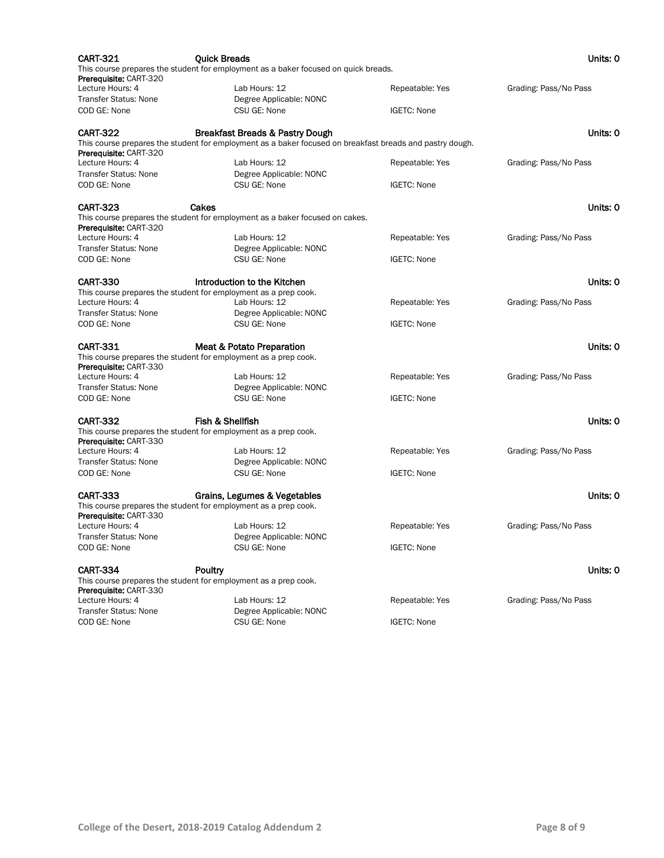| <b>CART-321</b>               | <b>Quick Breads</b>                                                                                      |                    | Units: 0              |
|-------------------------------|----------------------------------------------------------------------------------------------------------|--------------------|-----------------------|
| <b>Prerequisite: CART-320</b> | This course prepares the student for employment as a baker focused on quick breads.                      |                    |                       |
| Lecture Hours: 4              | Lab Hours: 12                                                                                            | Repeatable: Yes    | Grading: Pass/No Pass |
| <b>Transfer Status: None</b>  | Degree Applicable: NONC                                                                                  |                    |                       |
| COD GE: None                  | CSU GE: None                                                                                             | <b>IGETC: None</b> |                       |
| <b>CART-322</b>               | Breakfast Breads & Pastry Dough                                                                          |                    | Units: 0              |
| Prerequisite: CART-320        | This course prepares the student for employment as a baker focused on breakfast breads and pastry dough. |                    |                       |
| Lecture Hours: 4              | Lab Hours: 12                                                                                            | Repeatable: Yes    | Grading: Pass/No Pass |
| <b>Transfer Status: None</b>  | Degree Applicable: NONC                                                                                  |                    |                       |
| COD GE: None                  | CSU GE: None                                                                                             | <b>IGETC: None</b> |                       |
| <b>CART-323</b>               | Cakes                                                                                                    |                    | Units: 0              |
|                               | This course prepares the student for employment as a baker focused on cakes.                             |                    |                       |
| <b>Prerequisite: CART-320</b> |                                                                                                          |                    |                       |
| Lecture Hours: 4              | Lab Hours: 12                                                                                            | Repeatable: Yes    | Grading: Pass/No Pass |
| <b>Transfer Status: None</b>  | Degree Applicable: NONC                                                                                  |                    |                       |
| COD GE: None                  | CSU GE: None                                                                                             | <b>IGETC: None</b> |                       |
| <b>CART-330</b>               | Introduction to the Kitchen                                                                              |                    | Units: 0              |
|                               | This course prepares the student for employment as a prep cook.                                          |                    |                       |
| Lecture Hours: 4              | Lab Hours: 12                                                                                            | Repeatable: Yes    | Grading: Pass/No Pass |
| <b>Transfer Status: None</b>  | Degree Applicable: NONC                                                                                  |                    |                       |
| COD GE: None                  | CSU GE: None                                                                                             | <b>IGETC: None</b> |                       |
| <b>CART-331</b>               | <b>Meat &amp; Potato Preparation</b>                                                                     |                    | Units: 0              |
| <b>Prerequisite: CART-330</b> | This course prepares the student for employment as a prep cook.                                          |                    |                       |
| Lecture Hours: 4              | Lab Hours: 12                                                                                            | Repeatable: Yes    | Grading: Pass/No Pass |
| <b>Transfer Status: None</b>  | Degree Applicable: NONC                                                                                  |                    |                       |
| COD GE: None                  | CSU GE: None                                                                                             | <b>IGETC: None</b> |                       |
| <b>CART-332</b>               | Fish & Shellfish                                                                                         |                    | Units: 0              |
| Prerequisite: CART-330        | This course prepares the student for employment as a prep cook.                                          |                    |                       |
| Lecture Hours: 4              | Lab Hours: 12                                                                                            | Repeatable: Yes    | Grading: Pass/No Pass |
| <b>Transfer Status: None</b>  | Degree Applicable: NONC                                                                                  |                    |                       |
| COD GE: None                  | CSU GE: None                                                                                             | <b>IGETC: None</b> |                       |
| <b>CART-333</b>               | Grains, Legumes & Vegetables                                                                             |                    | Units: 0              |
| <b>Prerequisite: CART-330</b> | This course prepares the student for employment as a prep cook.                                          |                    |                       |
| Lecture Hours: 4              | Lab Hours: 12                                                                                            | Repeatable: Yes    | Grading: Pass/No Pass |
| Transfer Status: None         | Degree Applicable: NONC                                                                                  |                    |                       |
| COD GE: None                  | CSU GE: None                                                                                             | <b>IGETC: None</b> |                       |
| <b>CART-334</b>               | Poultry                                                                                                  |                    | Units: 0              |
|                               | This course prepares the student for employment as a prep cook.                                          |                    |                       |
| Prerequisite: CART-330        |                                                                                                          |                    |                       |
| Lecture Hours: 4              | Lab Hours: 12                                                                                            | Repeatable: Yes    | Grading: Pass/No Pass |
| <b>Transfer Status: None</b>  | Degree Applicable: NONC                                                                                  |                    |                       |
| COD GE: None                  | CSU GE: None                                                                                             | <b>IGETC: None</b> |                       |